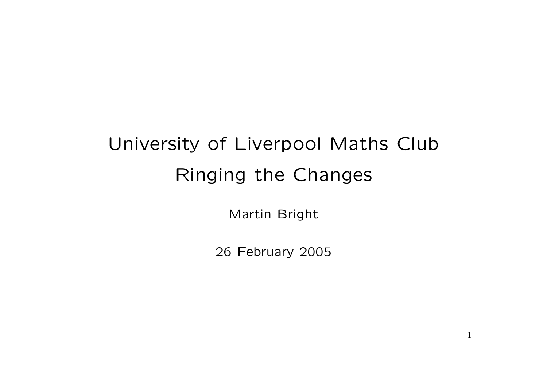# University of Liverpool Maths Club Ringing the Changes

Martin Bright

26 February 2005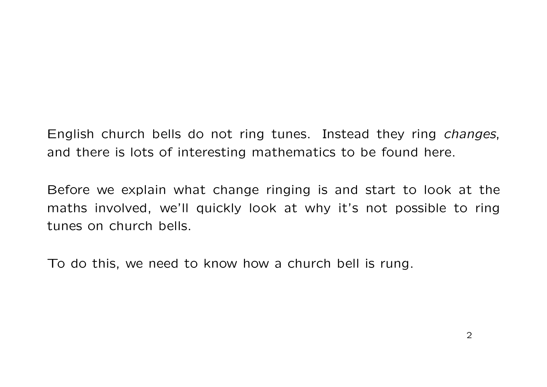English church bells do not ring tunes. Instead they ring changes, and there is lots of interesting mathematics to be found here.

Before we explain what change ringing is and start to look at the maths involved, we'll quickly look at why it's not possible to ring tunes on church bells.

To do this, we need to know how a church bell is rung.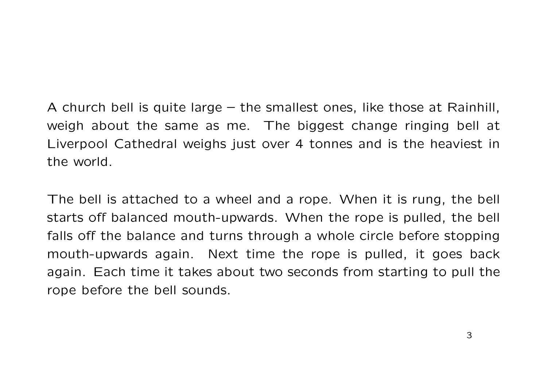A church bell is quite large – the smallest ones, like those at Rainhill, weigh about the same as me. The biggest change ringing bell at Liverpool Cathedral weighs just over 4 tonnes and is the heaviest in the world.

The bell is attached to a wheel and a rope. When it is rung, the bell starts off balanced mouth-upwards. When the rope is pulled, the bell falls off the balance and turns through a whole circle before stopping mouth-upwards again. Next time the rope is pulled, it goes back again. Each time it takes about two seconds from starting to pull the rope before the bell sounds.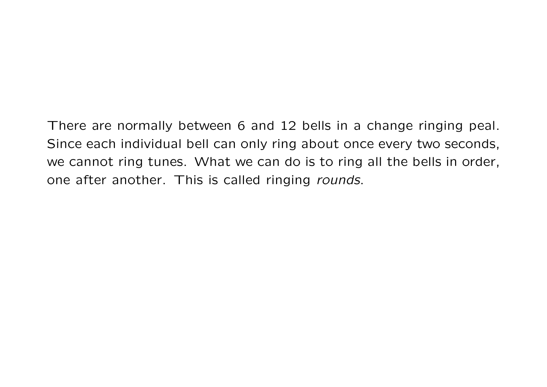There are normally between 6 and 12 bells in a change ringing peal. Since each individual bell can only ring about once every two seconds, we cannot ring tunes. What we can do is to ring all the bells in order, one after another. This is called ringing rounds.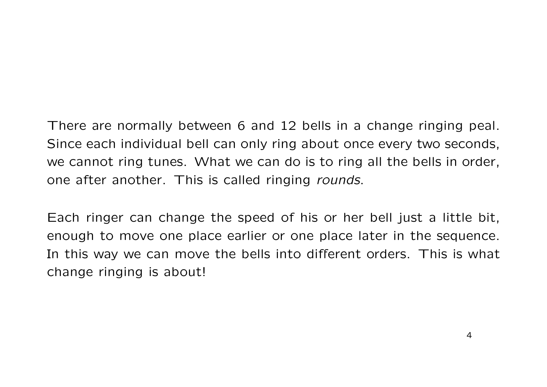There are normally between 6 and 12 bells in a change ringing peal. Since each individual bell can only ring about once every two seconds, we cannot ring tunes. What we can do is to ring all the bells in order, one after another. This is called ringing rounds.

Each ringer can change the speed of his or her bell just a little bit, enough to move one place earlier or one place later in the sequence. In this way we can move the bells into different orders. This is what change ringing is about!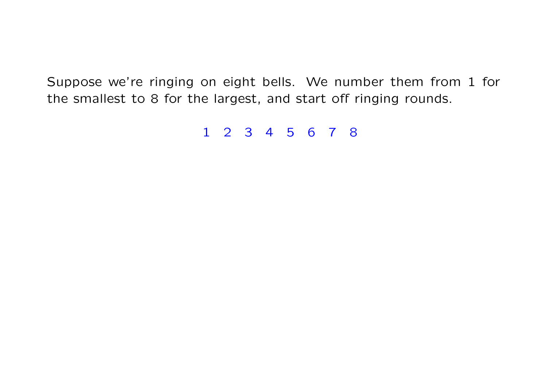1 2 3 4 5 6 7 8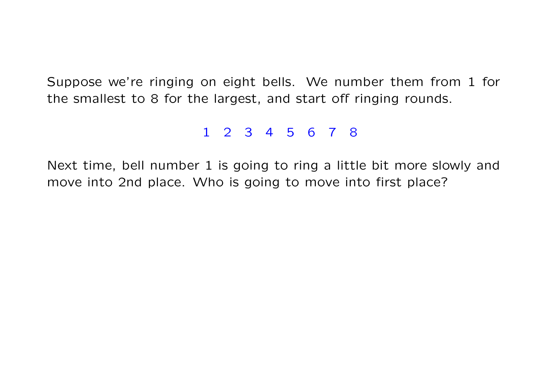### 1 2 3 4 5 6 7 8

Next time, bell number 1 is going to ring a little bit more slowly and move into 2nd place. Who is going to move into first place?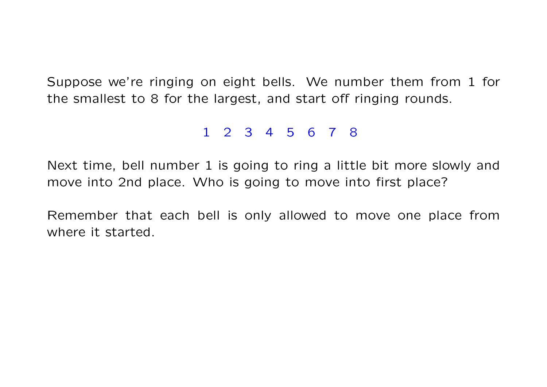#### 1 2 3 4 5 6 7 8

Next time, bell number 1 is going to ring a little bit more slowly and move into 2nd place. Who is going to move into first place?

Remember that each bell is only allowed to move one place from where it started.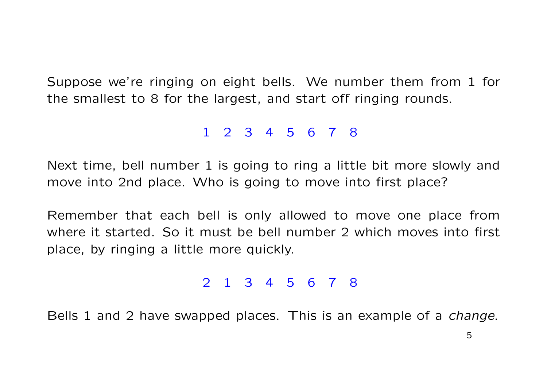#### 1 2 3 4 5 6 7 8

Next time, bell number 1 is going to ring a little bit more slowly and move into 2nd place. Who is going to move into first place?

Remember that each bell is only allowed to move one place from where it started. So it must be bell number 2 which moves into first place, by ringing a little more quickly.

#### 2 1 3 4 5 6 7 8

Bells 1 and 2 have swapped places. This is an example of a *change*.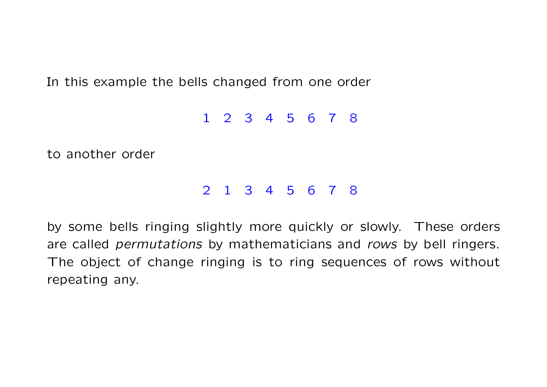In this example the bells changed from one order

1 2 3 4 5 6 7 8

to another order

### 2 1 3 4 5 6 7 8

by some bells ringing slightly more quickly or slowly. These orders are called permutations by mathematicians and rows by bell ringers. The object of change ringing is to ring sequences of rows without repeating any.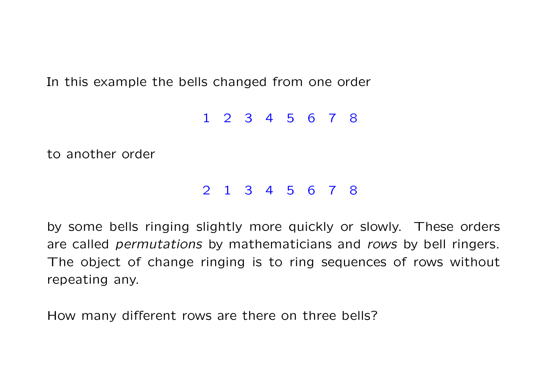In this example the bells changed from one order

1 2 3 4 5 6 7 8

to another order

### 2 1 3 4 5 6 7 8

by some bells ringing slightly more quickly or slowly. These orders are called *permutations* by mathematicians and rows by bell ringers. The object of change ringing is to ring sequences of rows without repeating any.

How many different rows are there on three bells?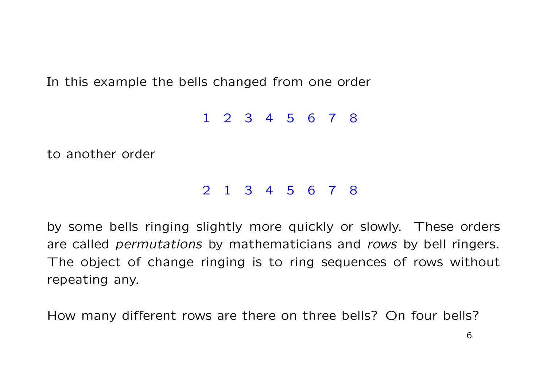In this example the bells changed from one order

1 2 3 4 5 6 7 8

to another order

### 2 1 3 4 5 6 7 8

by some bells ringing slightly more quickly or slowly. These orders are called *permutations* by mathematicians and rows by bell ringers. The object of change ringing is to ring sequences of rows without repeating any.

How many different rows are there on three bells? On four bells?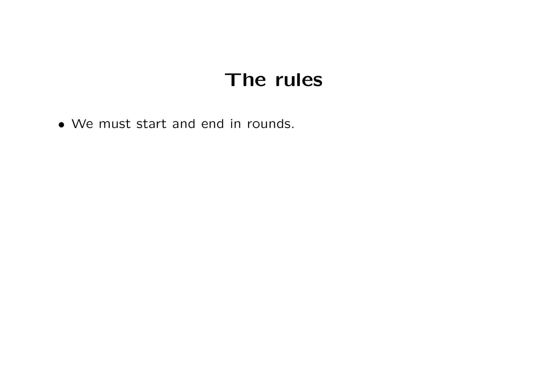• We must start and end in rounds.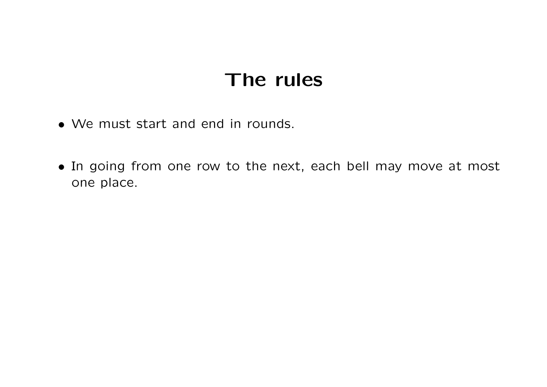- We must start and end in rounds.
- In going from one row to the next, each bell may move at most one place.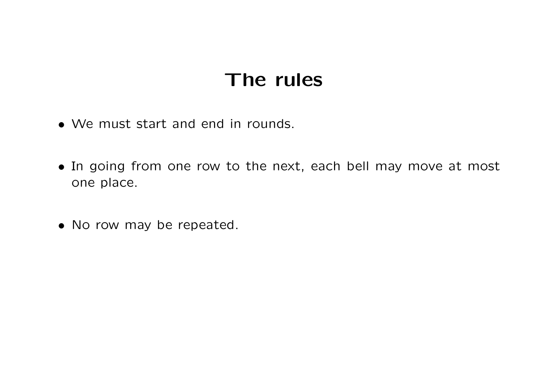- We must start and end in rounds.
- In going from one row to the next, each bell may move at most one place.
- No row may be repeated.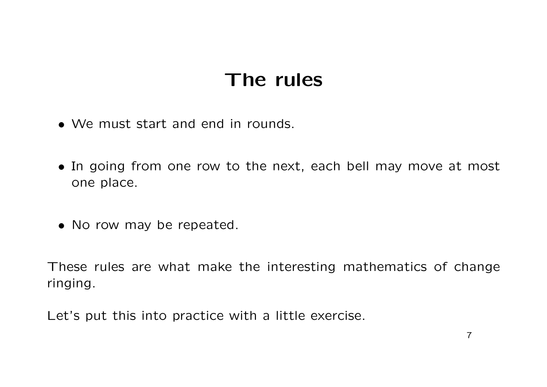- We must start and end in rounds.
- In going from one row to the next, each bell may move at most one place.
- No row may be repeated.

These rules are what make the interesting mathematics of change ringing.

Let's put this into practice with a little exercise.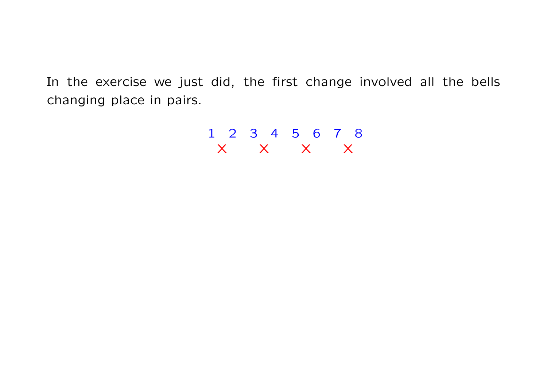$$
\begin{array}{cccccc}\n1 & 2 & 3 & 4 & 5 & 6 & 7 & 8 \\
X & X & X & X & X\n\end{array}
$$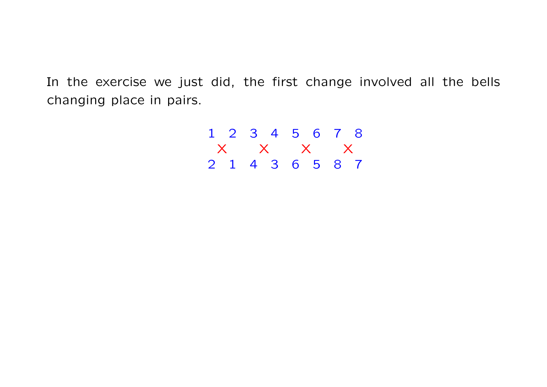$$
\begin{array}{cccccc}\n1 & 2 & 3 & 4 & 5 & 6 & 7 & 8 \\
X & X & X & X & X \\
2 & 1 & 4 & 3 & 6 & 5 & 8 & 7\n\end{array}
$$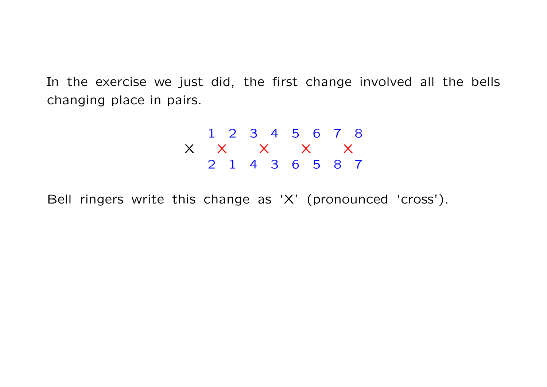$$
\begin{array}{c c c c c c c c c c} & & 1 & 2 & 3 & 4 & 5 & 6 & 7 & 8 \\ \times & & \times & & \times & & \times & & \times \\ & & 2 & 1 & 4 & 3 & 6 & 5 & 8 & 7 \end{array}
$$

Bell ringers write this change as 'X' (pronounced 'cross').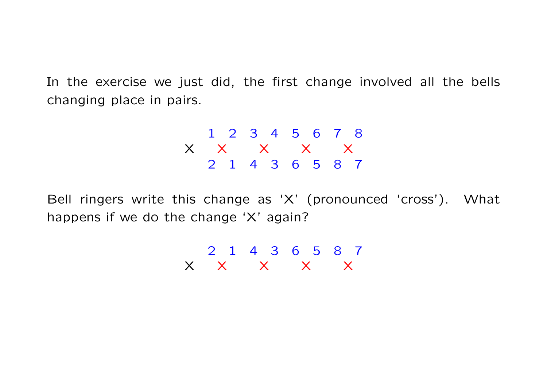$$
\begin{array}{cccccccc}\n & 1 & 2 & 3 & 4 & 5 & 6 & 7 & 8 \\
 \times & \times & \times & \times & \times & \times \\
 & 2 & 1 & 4 & 3 & 6 & 5 & 8 & 7\n\end{array}
$$

Bell ringers write this change as 'X' (pronounced 'cross'). What happens if we do the change 'X' again?

> 2 1 4 3 6 5 8 7  $X$   $X$   $X$   $X$   $X$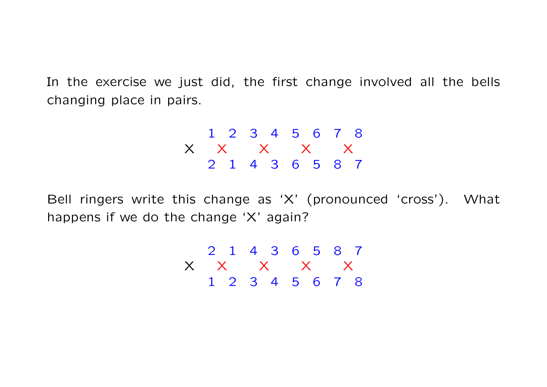$$
\begin{array}{ccccccccc}\n & 1 & 2 & 3 & 4 & 5 & 6 & 7 & 8 \\
\times & \times & \times & \times & \times & \times \\
 & 2 & 1 & 4 & 3 & 6 & 5 & 8 & 7\n\end{array}
$$

Bell ringers write this change as 'X' (pronounced 'cross'). What happens if we do the change 'X' again?

$$
\begin{array}{ccccccccc}\n & 2 & 1 & 4 & 3 & 6 & 5 & 8 & 7 \\
\times & \times & \times & \times & \times & \times \\
 & 1 & 2 & 3 & 4 & 5 & 6 & 7 & 8\n\end{array}
$$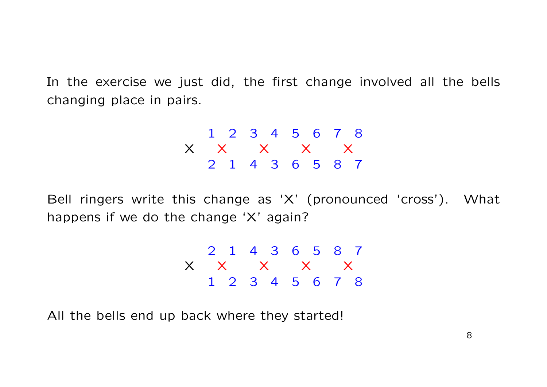$$
\begin{array}{cccccccc}\n & 1 & 2 & 3 & 4 & 5 & 6 & 7 & 8 \\
 \times & \times & \times & \times & \times & \times \\
 & 2 & 1 & 4 & 3 & 6 & 5 & 8 & 7\n\end{array}
$$

Bell ringers write this change as 'X' (pronounced 'cross'). What happens if we do the change 'X' again?

$$
\begin{array}{ccccccccc}\n & 2 & 1 & 4 & 3 & 6 & 5 & 8 & 7 \\
\times & \times & \times & \times & \times & \times \\
 & 1 & 2 & 3 & 4 & 5 & 6 & 7 & 8\n\end{array}
$$

All the bells end up back where they started!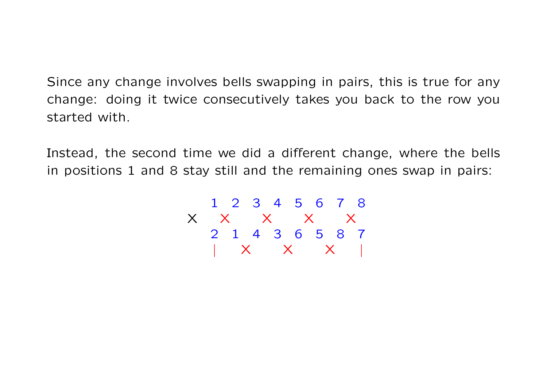Since any change involves bells swapping in pairs, this is true for any change: doing it twice consecutively takes you back to the row you started with.

Instead, the second time we did a different change, where the bells in positions 1 and 8 stay still and the remaining ones swap in pairs:

$$
\begin{array}{c|cccc}\n & 1 & 2 & 3 & 4 & 5 & 6 & 7 & 8 \\
\times & \times & \times & \times & \times & \times \\
 & 2 & 1 & 4 & 3 & 6 & 5 & 8 & 7 \\
 & & \times & \times & \times & \times & \end{array}
$$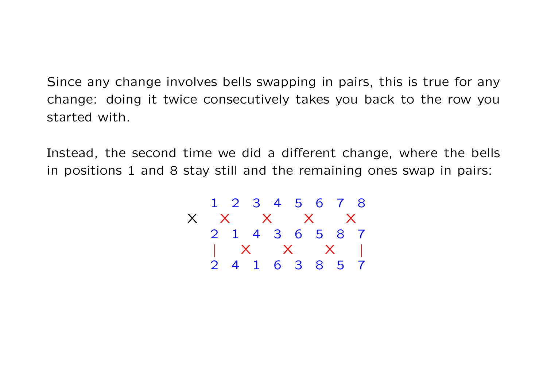Since any change involves bells swapping in pairs, this is true for any change: doing it twice consecutively takes you back to the row you started with.

Instead, the second time we did a different change, where the bells in positions 1 and 8 stay still and the remaining ones swap in pairs:

$$
\begin{array}{ccccccccc}\n & 1 & 2 & 3 & 4 & 5 & 6 & 7 & 8 \\
\times & \times & \times & \times & \times & \times \\
 & 2 & 1 & 4 & 3 & 6 & 5 & 8 & 7 \\
 & & \times & \times & \times & \times & | \\
2 & 4 & 1 & 6 & 3 & 8 & 5 & 7\n\end{array}
$$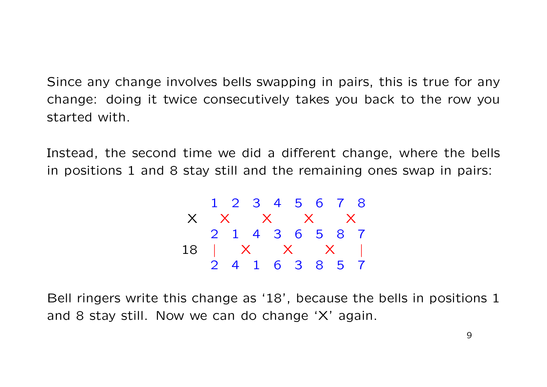Since any change involves bells swapping in pairs, this is true for any change: doing it twice consecutively takes you back to the row you started with.

Instead, the second time we did a different change, where the bells in positions 1 and 8 stay still and the remaining ones swap in pairs:

$$
\begin{array}{ccccccccc}\n & 1 & 2 & 3 & 4 & 5 & 6 & 7 & 8 \\
\times & \times & \times & \times & \times & \times \\
 & 2 & 1 & 4 & 3 & 6 & 5 & 8 & 7 \\
18 & & \times & \times & \times & \times & | \\
2 & 4 & 1 & 6 & 3 & 8 & 5 & 7\n\end{array}
$$

Bell ringers write this change as '18', because the bells in positions 1 and 8 stay still. Now we can do change 'X' again.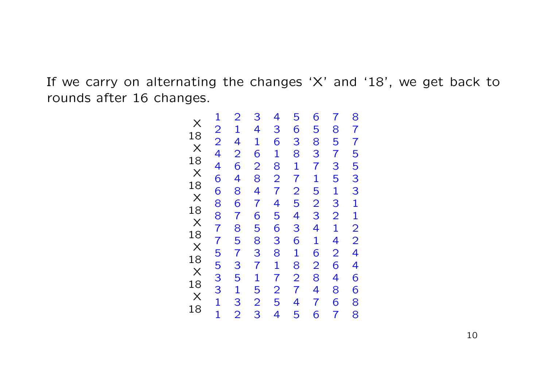If we carry on alternating the changes 'X' and '18', we get back to rounds after 16 changes.

|                   | $\overline{2}$   | 3                | $\overline{a}$  | 5               | 6              | $\overline{1}$ |                   |
|-------------------|------------------|------------------|-----------------|-----------------|----------------|----------------|-------------------|
|                   |                  |                  | 3               | 6               | 5              |                |                   |
|                   |                  |                  |                 |                 | 8              |                |                   |
|                   |                  |                  |                 |                 |                |                |                   |
|                   |                  |                  |                 |                 |                |                |                   |
|                   |                  |                  |                 |                 |                |                |                   |
|                   |                  |                  |                 |                 |                |                |                   |
|                   |                  |                  |                 |                 |                | 85735132142648 |                   |
|                   |                  |                  |                 |                 |                |                |                   |
|                   |                  |                  |                 |                 |                |                |                   |
|                   |                  |                  |                 |                 |                |                |                   |
|                   |                  |                  |                 |                 |                |                |                   |
|                   |                  |                  |                 |                 |                |                |                   |
|                   |                  |                  |                 |                 |                |                |                   |
|                   |                  |                  |                 |                 |                |                |                   |
|                   |                  |                  |                 |                 |                |                |                   |
| 12244668877553311 | 1426486785735132 | 4162847658371523 | 618274563817254 | 381725436182745 | 37152341628476 | $\frac{6}{7}$  | 87755331122446688 |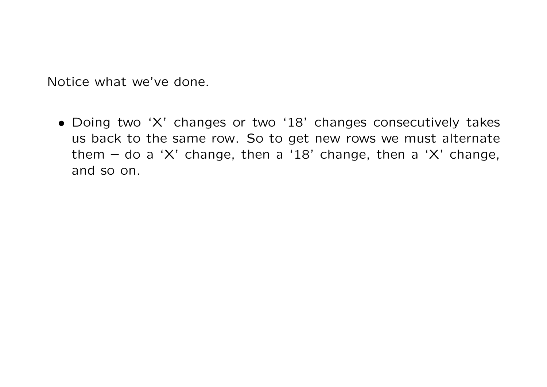Notice what we've done.

• Doing two 'X' changes or two '18' changes consecutively takes us back to the same row. So to get new rows we must alternate them – do a 'X' change, then a '18' change, then a 'X' change, and so on.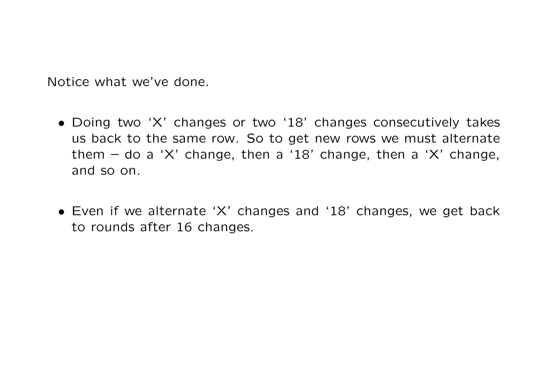Notice what we've done.

- Doing two 'X' changes or two '18' changes consecutively takes us back to the same row. So to get new rows we must alternate them – do a 'X' change, then a '18' change, then a 'X' change, and so on.
- Even if we alternate 'X' changes and '18' changes, we get back to rounds after 16 changes.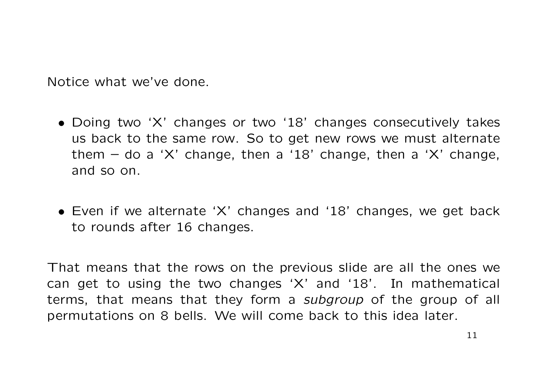Notice what we've done.

- Doing two 'X' changes or two '18' changes consecutively takes us back to the same row. So to get new rows we must alternate them – do a 'X' change, then a '18' change, then a 'X' change, and so on.
- Even if we alternate 'X' changes and '18' changes, we get back to rounds after 16 changes.

That means that the rows on the previous slide are all the ones we can get to using the two changes 'X' and '18'. In mathematical terms, that means that they form a subgroup of the group of all permutations on 8 bells. We will come back to this idea later.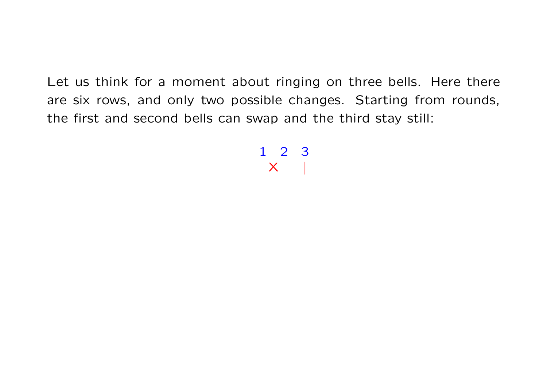> 1 2 3  $\mathsf{X}$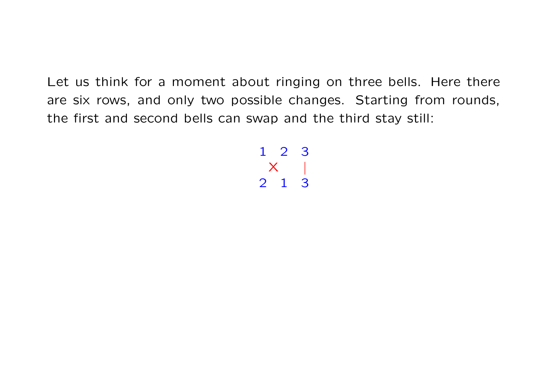> 1 2 3  $\boldsymbol{\mathsf{X}}$ 2 1 3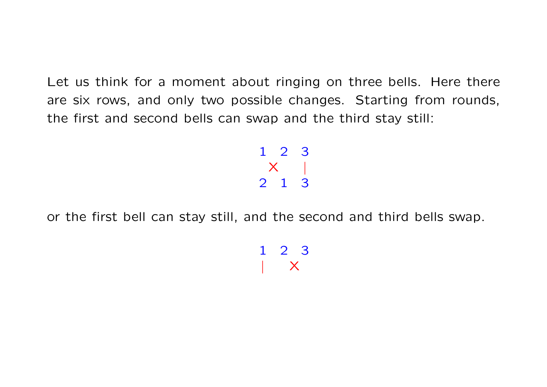> 1 2 3  $X \qquad |$ 2 1 3

or the first bell can stay still, and the second and third bells swap.

1 2 3  $\mathsf{X}$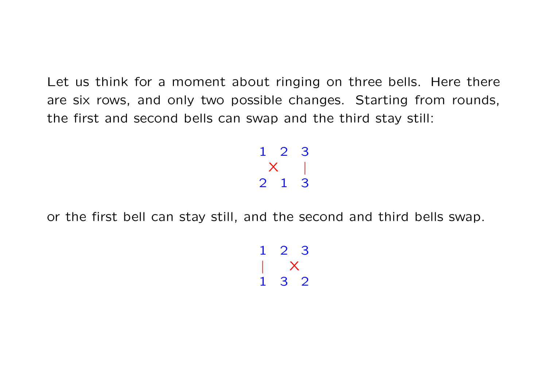> 1 2 3  $X \qquad |$ 2 1 3

or the first bell can stay still, and the second and third bells swap.

1 2 3 | X 1 3 2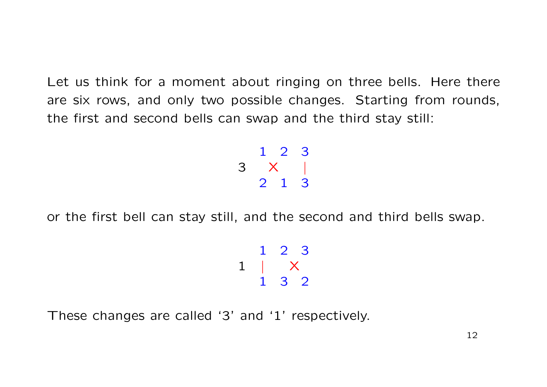> 1 2 3 3 X | 2 1 3

or the first bell can stay still, and the second and third bells swap.

$$
\begin{array}{ccccc}\n & 1 & 2 & 3 \\
1 & & \times & \\
 & 1 & 3 & 2\n\end{array}
$$

These changes are called '3' and '1' respectively.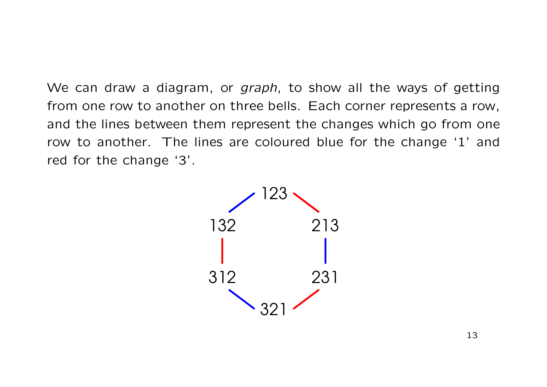We can draw a diagram, or *graph*, to show all the ways of getting from one row to another on three bells. Each corner represents a row, and the lines between them represent the changes which go from one row to another. The lines are coloured blue for the change '1' and red for the change '3'.

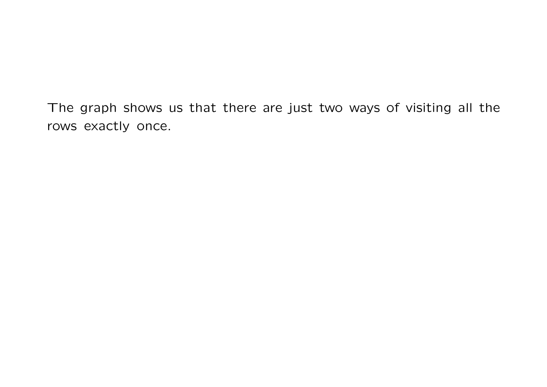The graph shows us that there are just two ways of visiting all the rows exactly once.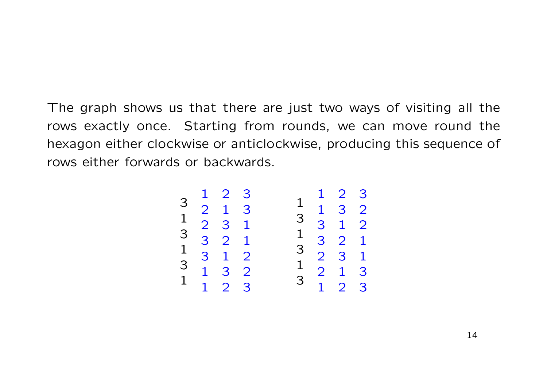The graph shows us that there are just two ways of visiting all the rows exactly once. Starting from rounds, we can move round the hexagon either clockwise or anticlockwise, producing this sequence of rows either forwards or backwards.

1 2 3 3 2 1 3 1 2 3 1 3 3 2 1 1 3 1 2 3 1 3 2 1 1 2 3 1 2 3 1 1 3 2 3 3 1 2 1 3 2 1 3 2 3 1 1 2 1 3 3 1 2 3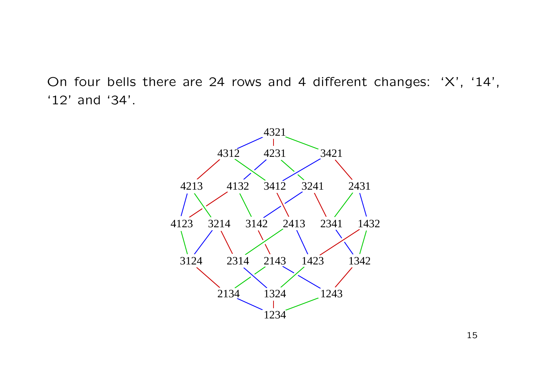On four bells there are 24 rows and 4 different changes: 'X', '14', '12' and '34'.

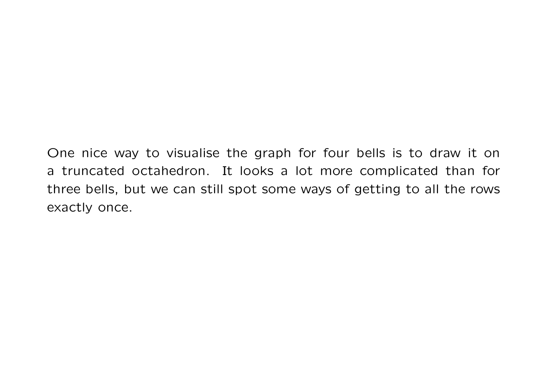One nice way to visualise the graph for four bells is to draw it on a truncated octahedron. It looks a lot more complicated than for three bells, but we can still spot some ways of getting to all the rows exactly once.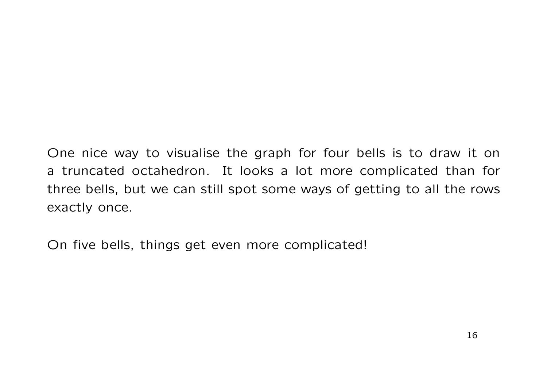One nice way to visualise the graph for four bells is to draw it on a truncated octahedron. It looks a lot more complicated than for three bells, but we can still spot some ways of getting to all the rows exactly once.

On five bells, things get even more complicated!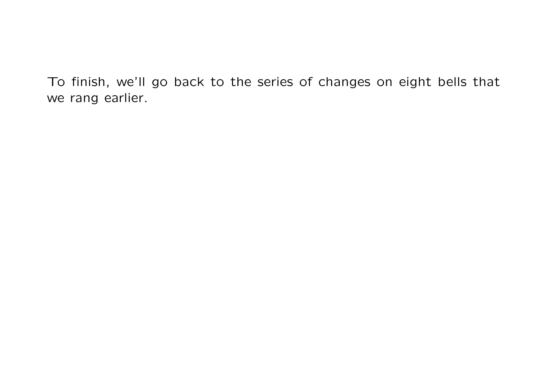To finish, we'll go back to the series of changes on eight bells that we rang earlier.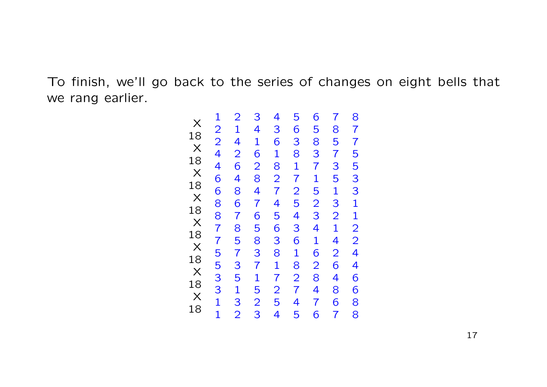To finish, we'll go back to the series of changes on eight bells that we rang earlier.

|                                        |                   |                   | 3                | $\overline{\mathcal{A}}$ | 5               | 6              | $\overline{1}$   |                   |
|----------------------------------------|-------------------|-------------------|------------------|--------------------------|-----------------|----------------|------------------|-------------------|
|                                        |                   |                   |                  |                          | 6               | 5              |                  |                   |
|                                        |                   |                   |                  |                          |                 | 8              |                  |                   |
|                                        |                   |                   |                  |                          |                 |                |                  |                   |
|                                        |                   |                   |                  |                          |                 |                |                  |                   |
|                                        |                   |                   |                  |                          |                 |                |                  |                   |
|                                        |                   |                   |                  |                          |                 |                |                  |                   |
| X 13 X 3 X 3 X 3 X 3 X 3 X 3 X 3 X 4 3 |                   |                   |                  |                          |                 |                |                  |                   |
|                                        |                   |                   |                  |                          |                 |                |                  |                   |
|                                        |                   |                   |                  |                          |                 |                |                  |                   |
|                                        |                   |                   |                  |                          |                 |                |                  |                   |
|                                        |                   |                   |                  |                          |                 |                |                  |                   |
|                                        |                   |                   |                  |                          |                 |                |                  |                   |
|                                        |                   |                   |                  |                          |                 |                |                  |                   |
|                                        |                   |                   |                  |                          |                 |                |                  |                   |
|                                        |                   |                   |                  |                          |                 |                |                  |                   |
|                                        | 12244668877553311 | 21426486785735132 | 4162847658371523 | 3618274563817254         | 381725436182745 | 37152341628476 | 8573513214264867 | 87755331122446688 |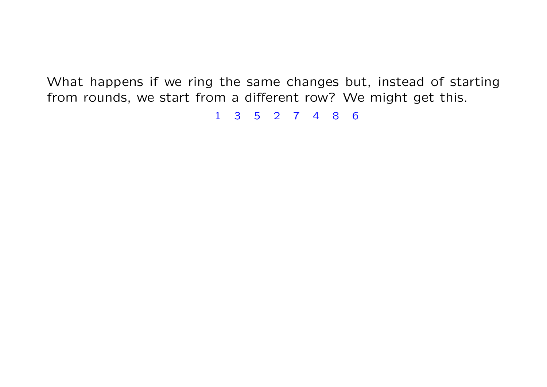1 3 5 2 7 4 8 6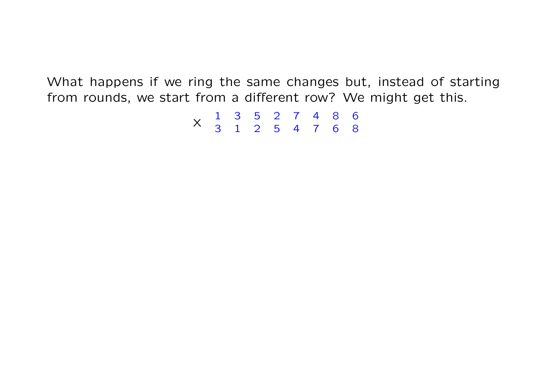1 3 5 2 7 4 8 6 <sup>X</sup> 3 1 2 5 4 7 6 8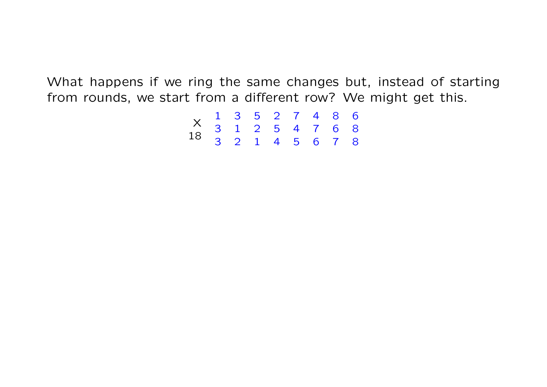| X 1 3 5 2 7 4 8 6<br>18 3 1 2 5 4 7 6 8<br>3 2 1 4 5 6 7 8 |  |  |  |  |
|------------------------------------------------------------|--|--|--|--|
|                                                            |  |  |  |  |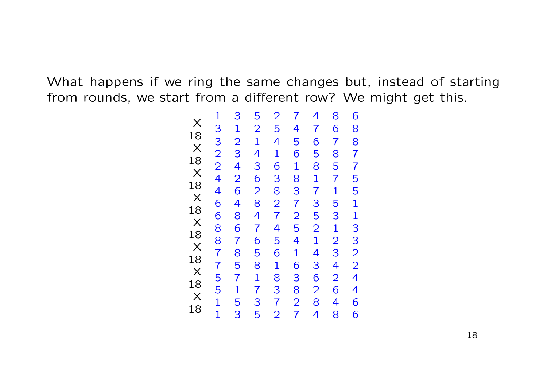|                                               | $\overline{3}$   | 5                |                   | $\overline{7}$ | 4               | 8                | 6                |
|-----------------------------------------------|------------------|------------------|-------------------|----------------|-----------------|------------------|------------------|
|                                               |                  |                  |                   |                | $\overline{7}$  |                  |                  |
|                                               |                  |                  |                   | $\frac{4}{5}$  |                 |                  |                  |
|                                               |                  |                  |                   |                |                 |                  |                  |
|                                               |                  |                  |                   |                |                 |                  |                  |
|                                               |                  |                  |                   |                |                 |                  |                  |
|                                               |                  |                  |                   |                |                 |                  |                  |
|                                               |                  |                  |                   | 618372541638   |                 |                  |                  |
|                                               |                  |                  |                   |                |                 |                  |                  |
|                                               |                  |                  |                   |                |                 |                  |                  |
|                                               |                  |                  |                   |                |                 |                  |                  |
|                                               |                  |                  |                   |                |                 |                  |                  |
|                                               |                  |                  |                   |                |                 |                  |                  |
|                                               |                  |                  |                   |                |                 |                  |                  |
|                                               |                  |                  |                   |                |                 |                  |                  |
| $\frac{1}{3}$ 3 2 2 2 4 4 6 6 8 8 7 7 5 5 1 1 | 1234264867857153 | 2143628476581735 | 25416382745618372 | $\frac{2}{7}$  | 658173521436284 | 6785715312342648 | 8877551133224466 |
|                                               |                  |                  |                   |                |                 |                  |                  |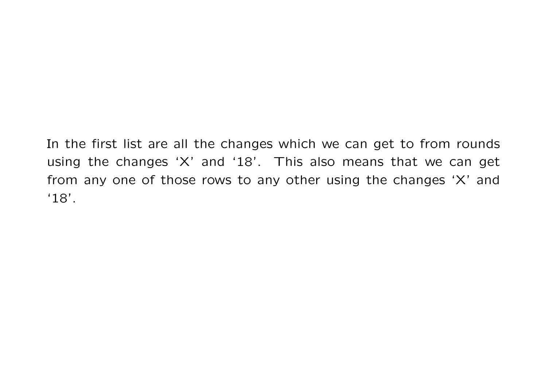In the first list are all the changes which we can get to from rounds using the changes 'X' and '18'. This also means that we can get from any one of those rows to any other using the changes 'X' and '18'.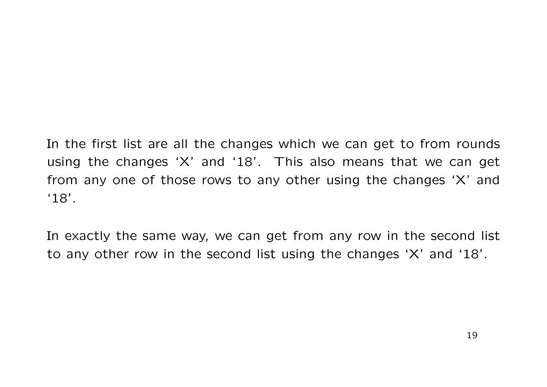In the first list are all the changes which we can get to from rounds using the changes 'X' and '18'. This also means that we can get from any one of those rows to any other using the changes 'X' and '18'.

In exactly the same way, we can get from any row in the second list to any other row in the second list using the changes 'X' and '18'.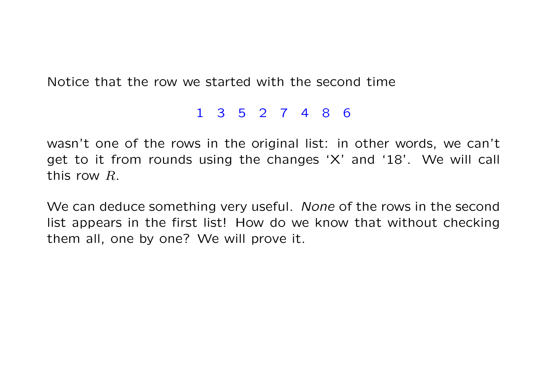Notice that the row we started with the second time

#### 1 3 5 2 7 4 8 6

wasn't one of the rows in the original list: in other words, we can't get to it from rounds using the changes 'X' and '18'. We will call this row R.

We can deduce something very useful. None of the rows in the second list appears in the first list! How do we know that without checking them all, one by one? We will prove it.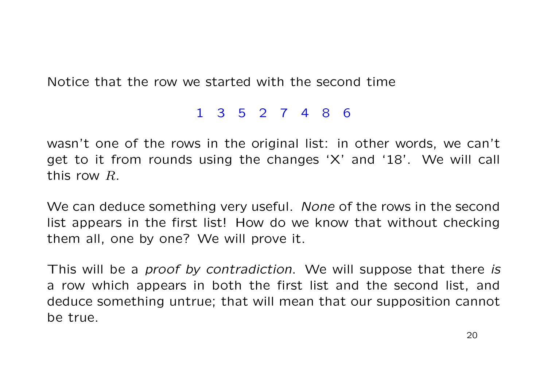Notice that the row we started with the second time

#### 1 3 5 2 7 4 8 6

wasn't one of the rows in the original list: in other words, we can't get to it from rounds using the changes 'X' and '18'. We will call this row R.

We can deduce something very useful. None of the rows in the second list appears in the first list! How do we know that without checking them all, one by one? We will prove it.

This will be a *proof by contradiction*. We will suppose that there is a row which appears in both the first list and the second list, and deduce something untrue; that will mean that our supposition cannot be true.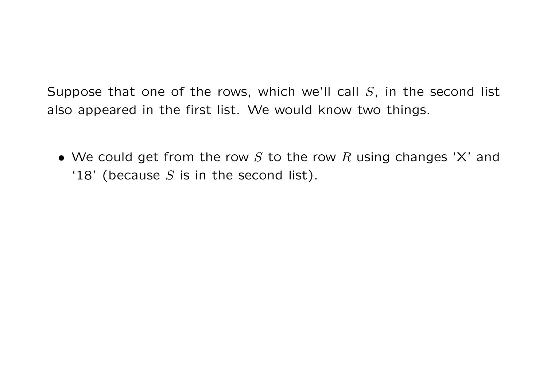• We could get from the row  $S$  to the row  $R$  using changes 'X' and '18' (because  $S$  is in the second list).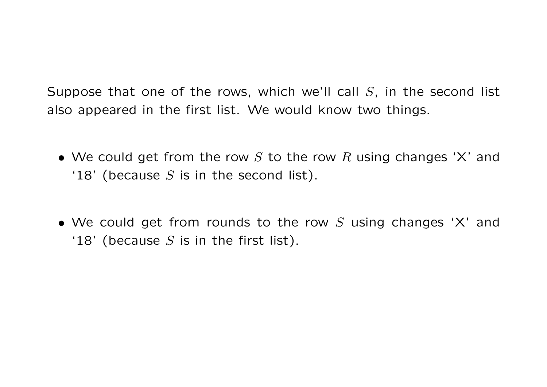- We could get from the row S to the row R using changes 'X' and '18' (because  $S$  is in the second list).
- We could get from rounds to the row  $S$  using changes 'X' and '18' (because  $S$  is in the first list).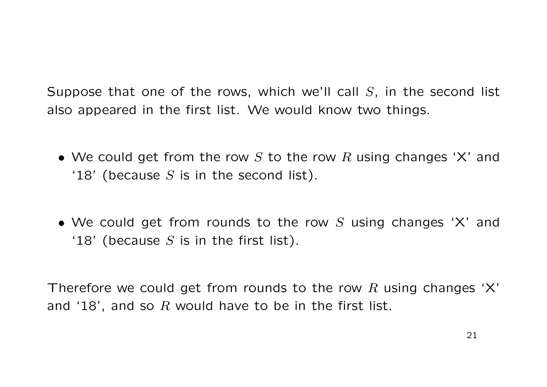- We could get from the row S to the row R using changes 'X' and '18' (because  $S$  is in the second list).
- We could get from rounds to the row  $S$  using changes 'X' and '18' (because  $S$  is in the first list).

Therefore we could get from rounds to the row R using changes 'X' and '18', and so R would have to be in the first list.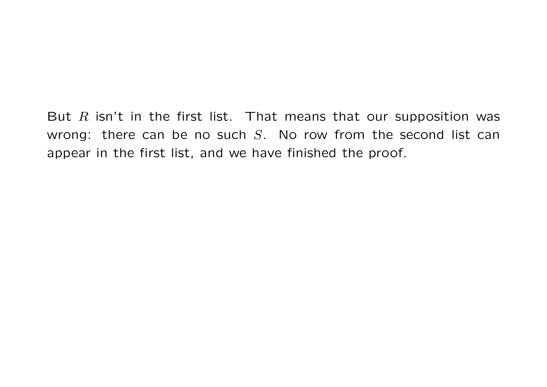But  $R$  isn't in the first list. That means that our supposition was wrong: there can be no such  $S$ . No row from the second list can appear in the first list, and we have finished the proof.